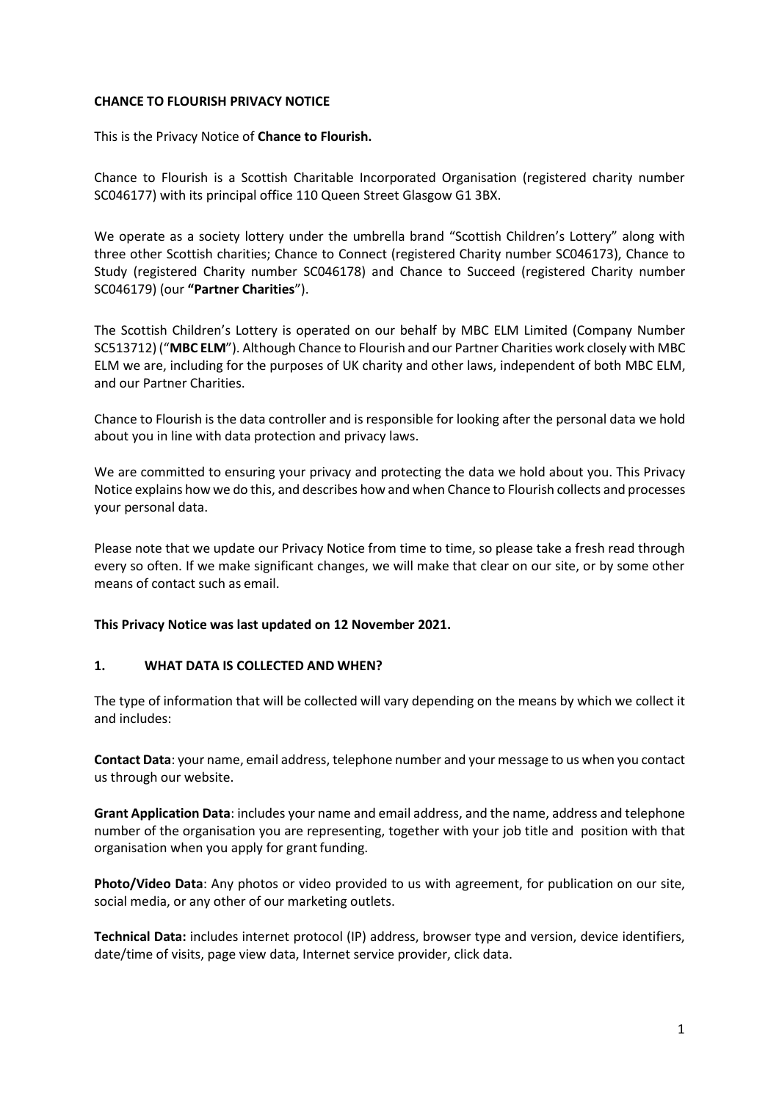#### **CHANCE TO FLOURISH PRIVACY NOTICE**

This is the Privacy Notice of **Chance to Flourish.**

Chance to Flourish is a Scottish Charitable Incorporated Organisation (registered charity number SC046177) with its principal office 110 Queen Street Glasgow G1 3BX.

We operate as a society lottery under the umbrella brand "Scottish Children's Lottery" along with three other Scottish charities; Chance to Connect (registered Charity number SC046173), Chance to Study (registered Charity number SC046178) and Chance to Succeed (registered Charity number SC046179) (our **"Partner Charities**").

The Scottish Children's Lottery is operated on our behalf by MBC ELM Limited (Company Number SC513712) ("**MBC ELM**"). Although Chance to Flourish and our Partner Charities work closely with MBC ELM we are, including for the purposes of UK charity and other laws, independent of both MBC ELM, and our Partner Charities.

Chance to Flourish is the data controller and is responsible for looking after the personal data we hold about you in line with data protection and privacy laws.

We are committed to ensuring your privacy and protecting the data we hold about you. This Privacy Notice explains how we do this, and describes how and when Chance to Flourish collects and processes your personal data.

Please note that we update our Privacy Notice from time to time, so please take a fresh read through every so often. If we make significant changes, we will make that clear on our site, or by some other means of contact such as email.

#### **This Privacy Notice was last updated on 12 November 2021.**

## **1. WHAT DATA IS COLLECTED AND WHEN?**

The type of information that will be collected will vary depending on the means by which we collect it and includes:

**Contact Data**: your name, email address, telephone number and your message to us when you contact us through our website.

**Grant Application Data**: includes your name and email address, and the name, address and telephone number of the organisation you are representing, together with your job title and position with that organisation when you apply for grant funding.

**Photo/Video Data**: Any photos or video provided to us with agreement, for publication on our site, social media, or any other of our marketing outlets.

**Technical Data:** includes internet protocol (IP) address, browser type and version, device identifiers, date/time of visits, page view data, Internet service provider, click data.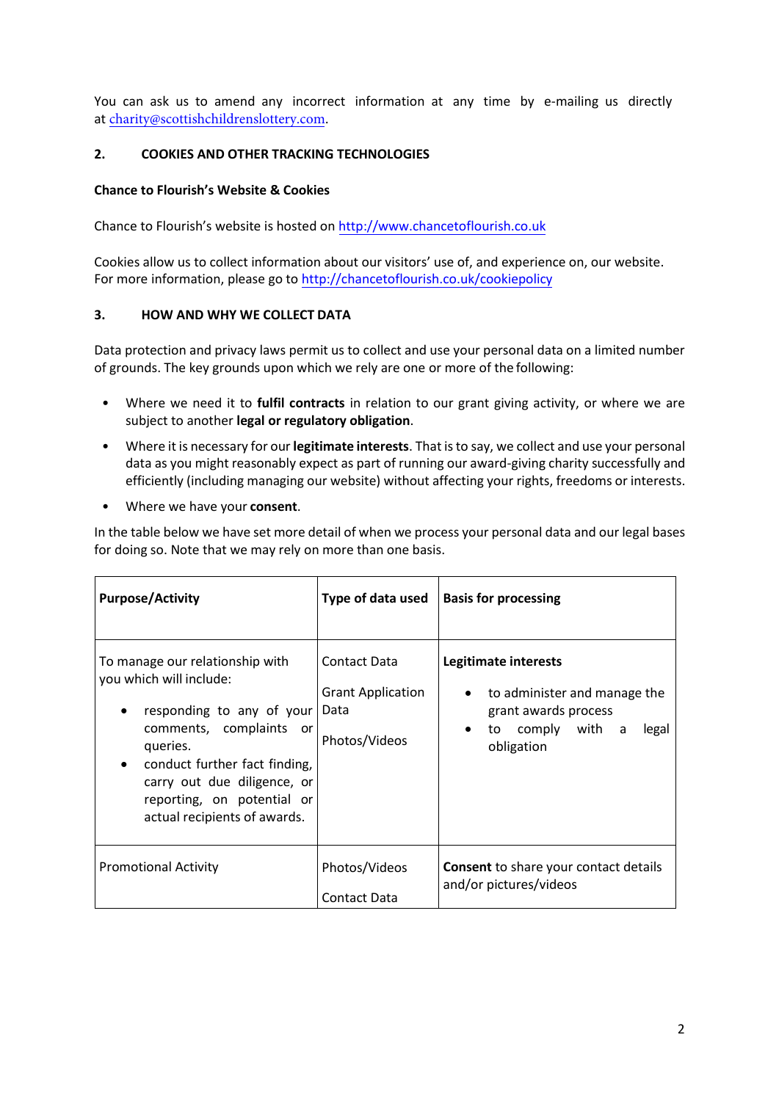You can ask us to amend any incorrect information at any time by e-mailing us directly at [charity@scottishchildrenslottery.com](mailto:charity@scottishchildrenslottery.com).

## **2. COOKIES AND OTHER TRACKING TECHNOLOGIES**

### **Chance to Flourish's Website & Cookies**

Chance to Flourish's website is hosted on [http://www.chancetoflourish.co.uk](http://www.chancetoflourish.co.uk/)

Cookies allow us to collect information about our visitors' use of, and experience on, our website. For more information, please go t[o http://chancetoflourish.co.uk/cookiepolicy](http://chancetoflourish.co.uk/assets/documents/pdf/Chance%20to%20Flourish%20Cookie%20Policy%20FINAL%202018.pdf)

#### **3. HOW AND WHY WE COLLECT DATA**

Data protection and privacy laws permit us to collect and use your personal data on a limited number of grounds. The key grounds upon which we rely are one or more of the following:

- Where we need it to **fulfil contracts** in relation to our grant giving activity, or where we are subject to another **legal or regulatory obligation**.
- Where it is necessary for our **legitimate interests**. That is to say, we collect and use your personal data as you might reasonably expect as part of running our award-giving charity successfully and efficiently (including managing our website) without affecting your rights, freedoms or interests.
- Where we have your **consent**.

In the table below we have set more detail of when we process your personal data and our legal bases for doing so. Note that we may rely on more than one basis.

| <b>Purpose/Activity</b>                                                                                                                                                                                                                                      | Type of data used                                                        | <b>Basis for processing</b>                                                                                                          |
|--------------------------------------------------------------------------------------------------------------------------------------------------------------------------------------------------------------------------------------------------------------|--------------------------------------------------------------------------|--------------------------------------------------------------------------------------------------------------------------------------|
| To manage our relationship with<br>you which will include:<br>responding to any of your<br>comments, complaints or<br>queries.<br>conduct further fact finding,<br>carry out due diligence, or<br>reporting, on potential or<br>actual recipients of awards. | <b>Contact Data</b><br><b>Grant Application</b><br>Data<br>Photos/Videos | Legitimate interests<br>to administer and manage the<br>$\bullet$<br>grant awards process<br>to comply with a<br>legal<br>obligation |
| <b>Promotional Activity</b>                                                                                                                                                                                                                                  | Photos/Videos<br>Contact Data                                            | <b>Consent</b> to share your contact details<br>and/or pictures/videos                                                               |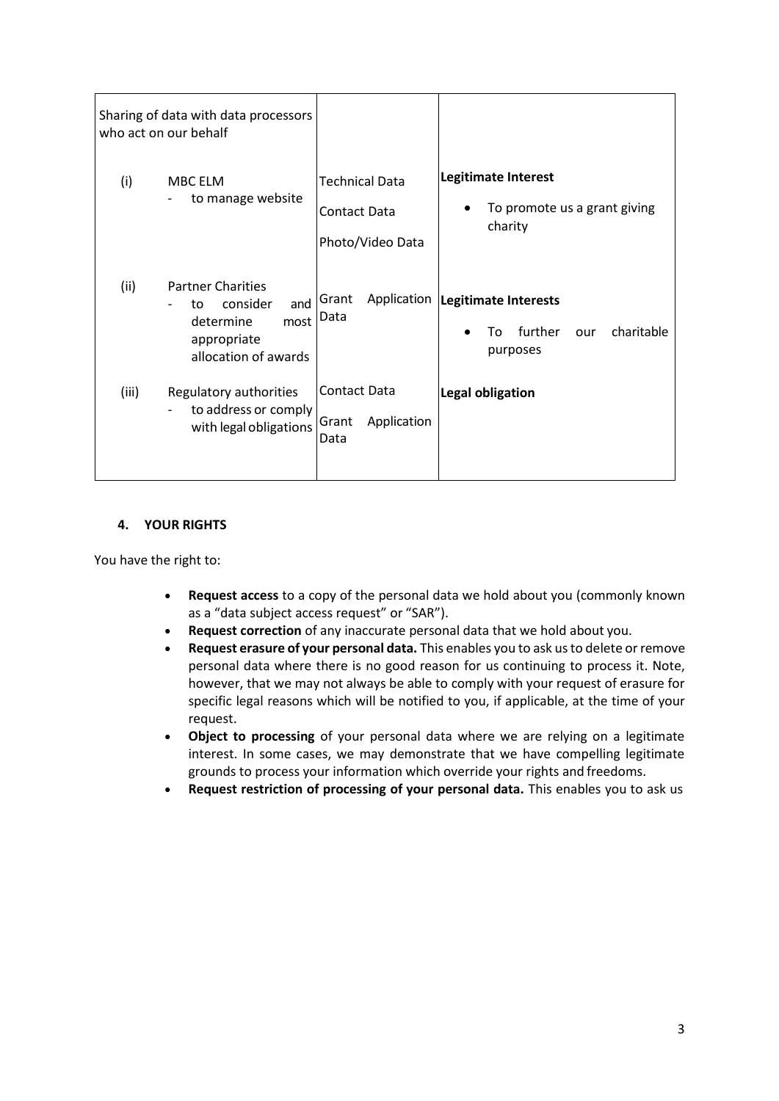|       | Sharing of data with data processors<br>who act on our behalf                                                 |                                                           |                                                                                     |
|-------|---------------------------------------------------------------------------------------------------------------|-----------------------------------------------------------|-------------------------------------------------------------------------------------|
| (i)   | MBC ELM<br>to manage website<br>$\overline{\phantom{a}}$                                                      | <b>Technical Data</b><br>Contact Data<br>Photo/Video Data | <b>Legitimate Interest</b><br>To promote us a grant giving<br>charity               |
| (ii)  | <b>Partner Charities</b><br>consider<br>and<br>to<br>most<br>determine<br>appropriate<br>allocation of awards | Grant<br>Data                                             | Application  Legitimate Interests<br>further<br>charitable<br>То<br>our<br>purposes |
| (iii) | Regulatory authorities<br>to address or comply<br>with legal obligations                                      | <b>Contact Data</b><br>Application<br>Grant<br>Data       | Legal obligation                                                                    |

## **4. YOUR RIGHTS**

You have the right to:

- **Request access** to a copy of the personal data we hold about you (commonly known as a "data subject access request" or "SAR").
- **Request correction** of any inaccurate personal data that we hold about you.
- **Request erasure of your personal data.** This enables you to ask us to delete or remove personal data where there is no good reason for us continuing to process it. Note, however, that we may not always be able to comply with your request of erasure for specific legal reasons which will be notified to you, if applicable, at the time of your request.
- **Object to processing** of your personal data where we are relying on a legitimate interest. In some cases, we may demonstrate that we have compelling legitimate grounds to process your information which override your rights and freedoms.
- **Request restriction of processing of your personal data.** This enables you to ask us